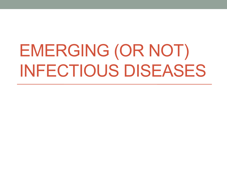# EMERGING (OR NOT) INFECTIOUS DISEASES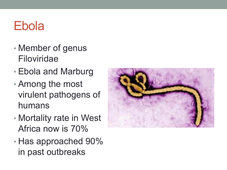## Ebola

- Member of genus Filoviridae
- Ebola and Marburg
- Among the most virulent pathogens of humans
- Mortality rate in West Africa now is 70%
- Has approached 90% in past outbreaks

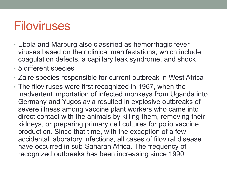#### Filoviruses

- Ebola and Marburg also classified as hemorrhagic fever viruses based on their clinical manifestations, which include coagulation defects, a capillary leak syndrome, and shock
- 5 different species
- Zaire species responsible for current outbreak in West Africa
- The filoviruses were first recognized in 1967, when the inadvertent importation of infected monkeys from Uganda into Germany and Yugoslavia resulted in explosive outbreaks of severe illness among vaccine plant workers who came into direct contact with the animals by killing them, removing their kidneys, or preparing primary cell cultures for polio vaccine production. Since that time, with the exception of a few accidental laboratory infections, all cases of filoviral disease have occurred in sub-Saharan Africa. The frequency of recognized outbreaks has been increasing since 1990.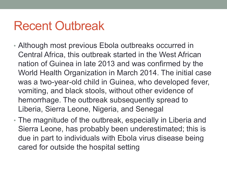### Recent Outbreak

- Although most previous Ebola outbreaks occurred in Central Africa, this outbreak started in the West African nation of Guinea in late 2013 and was confirmed by the World Health Organization in March 2014. The initial case was a two-year-old child in Guinea, who developed fever, vomiting, and black stools, without other evidence of hemorrhage. The outbreak subsequently spread to Liberia, Sierra Leone, Nigeria, and Senegal
- The magnitude of the outbreak, especially in Liberia and Sierra Leone, has probably been underestimated; this is due in part to individuals with Ebola virus disease being cared for outside the hospital setting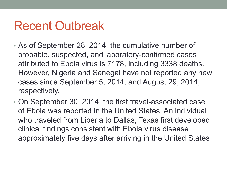### Recent Outbreak

- As of September 28, 2014, the cumulative number of probable, suspected, and laboratory-confirmed cases attributed to Ebola virus is 7178, including 3338 deaths. However, Nigeria and Senegal have not reported any new cases since September 5, 2014, and August 29, 2014, respectively.
- On September 30, 2014, the first travel-associated case of Ebola was reported in the United States. An individual who traveled from Liberia to Dallas, Texas first developed clinical findings consistent with Ebola virus disease approximately five days after arriving in the United States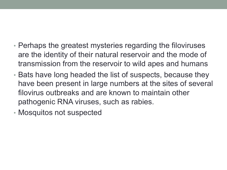- Perhaps the greatest mysteries regarding the filoviruses are the identity of their natural reservoir and the mode of transmission from the reservoir to wild apes and humans
- Bats have long headed the list of suspects, because they have been present in large numbers at the sites of several filovirus outbreaks and are known to maintain other pathogenic RNA viruses, such as rabies.
- Mosquitos not suspected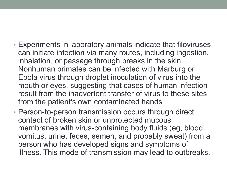- Experiments in laboratory animals indicate that filoviruses can initiate infection via many routes, including ingestion, inhalation, or passage through breaks in the skin. Nonhuman primates can be infected with Marburg or Ebola virus through droplet inoculation of virus into the mouth or eyes, suggesting that cases of human infection result from the inadvertent transfer of virus to these sites from the patient's own contaminated hands
- Person-to-person transmission occurs through direct contact of broken skin or unprotected mucous membranes with virus-containing body fluids (eg, blood, vomitus, urine, feces, semen, and probably sweat) from a person who has developed signs and symptoms of illness. This mode of transmission may lead to outbreaks.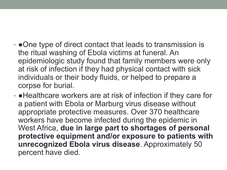- • One type of direct contact that leads to transmission is the ritual washing of Ebola victims at funeral. An epidemiologic study found that family members were only at risk of infection if they had physical contact with sick individuals or their body fluids, or helped to prepare a corpse for burial.
- • Healthcare workers are at risk of infection if they care for a patient with Ebola or Marburg virus disease without appropriate protective measures. Over 370 healthcare workers have become infected during the epidemic in West Africa, **due in large part to shortages of personal protective equipment and/or exposure to patients with unrecognized Ebola virus disease**. Approximately 50 percent have died.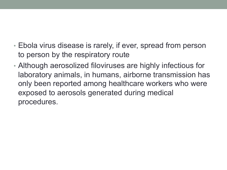- Ebola virus disease is rarely, if ever, spread from person to person by the respiratory route
- Although aerosolized filoviruses are highly infectious for laboratory animals, in humans, airborne transmission has only been reported among healthcare workers who were exposed to aerosols generated during medical procedures.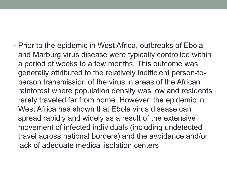• Prior to the epidemic in West Africa, outbreaks of Ebola and Marburg virus disease were typically controlled within a period of weeks to a few months. This outcome was generally attributed to the relatively inefficient person-toperson transmission of the virus in areas of the African rainforest where population density was low and residents rarely traveled far from home. However, the epidemic in West Africa has shown that Ebola virus disease can spread rapidly and widely as a result of the extensive movement of infected individuals (including undetected travel across national borders) and the avoidance and/or lack of adequate medical isolation centers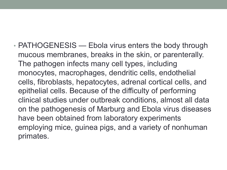• PATHOGENESIS — Ebola virus enters the body through mucous membranes, breaks in the skin, or parenterally. The pathogen infects many cell types, including monocytes, macrophages, dendritic cells, endothelial cells, fibroblasts, hepatocytes, adrenal cortical cells, and epithelial cells. Because of the difficulty of performing clinical studies under outbreak conditions, almost all data on the pathogenesis of Marburg and Ebola virus diseases have been obtained from laboratory experiments employing mice, guinea pigs, and a variety of nonhuman primates.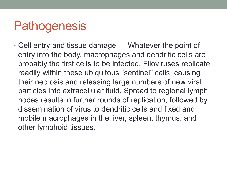### **Pathogenesis**

• Cell entry and tissue damage — Whatever the point of entry into the body, macrophages and dendritic cells are probably the first cells to be infected. Filoviruses replicate readily within these ubiquitous "sentinel" cells, causing their necrosis and releasing large numbers of new viral particles into extracellular fluid. Spread to regional lymph nodes results in further rounds of replication, followed by dissemination of virus to dendritic cells and fixed and mobile macrophages in the liver, spleen, thymus, and other lymphoid tissues.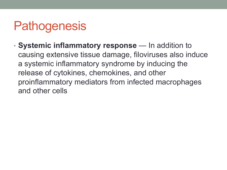## **Pathogenesis**

• **Systemic inflammatory response** — In addition to causing extensive tissue damage, filoviruses also induce a systemic inflammatory syndrome by inducing the release of cytokines, chemokines, and other proinflammatory mediators from infected macrophages and other cells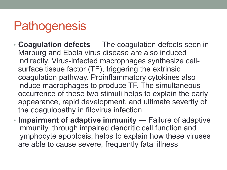## **Pathogenesis**

- **Coagulation defects**  The coagulation defects seen in Marburg and Ebola virus disease are also induced indirectly. Virus-infected macrophages synthesize cellsurface tissue factor (TF), triggering the extrinsic coagulation pathway. Proinflammatory cytokines also induce macrophages to produce TF. The simultaneous occurrence of these two stimuli helps to explain the early appearance, rapid development, and ultimate severity of the coagulopathy in filovirus infection
- **Impairment of adaptive immunity**  Failure of adaptive immunity, through impaired dendritic cell function and lymphocyte apoptosis, helps to explain how these viruses are able to cause severe, frequently fatal illness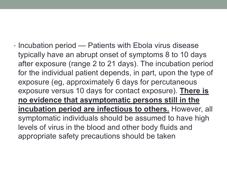• Incubation period — Patients with Ebola virus disease typically have an abrupt onset of symptoms 8 to 10 days after exposure (range 2 to 21 days). The incubation period for the individual patient depends, in part, upon the type of exposure (eg, approximately 6 days for percutaneous exposure versus 10 days for contact exposure). **There is no evidence that asymptomatic persons still in the incubation period are infectious to others.** However, all symptomatic individuals should be assumed to have high levels of virus in the blood and other body fluids and appropriate safety precautions should be taken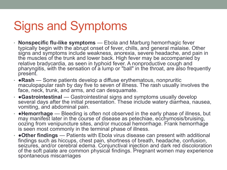# Signs and Symptoms

- **Nonspecific flu-like symptoms** Ebola and Marburg hemorrhagic fever typically begin with the abrupt onset of fever, chills, and general malaise. Other signs and symptoms include weakness, anorexia, severe headache, and pain in the muscles of the trunk and lower back. High fever may be accompanied by relative bradycardia, as seen in typhoid fever. A nonproductive cough and pharyngitis, with the sensation of a lump or "ball" in the throat, are also frequently present.
- ●**Rash** Some patients develop a diffuse erythematous, nonpruritic maculopapular rash by day five to seven of illness. The rash usually involves the face, neck, trunk, and arms, and can desquamate.
- ●**Gastrointestinal** Gastrointestinal signs and symptoms usually develop several days after the initial presentation. These include watery diarrhea, nausea, vomiting, and abdominal pain.
- ●**Hemorrhage** Bleeding is often not observed in the early phase of illness, but may manifest later in the course of disease as petechiae, ecchymosis/bruising, oozing from venipuncture sites, and/or mucosal hemorrhage. Frank hemorrhage is seen most commonly in the terminal phase of illness.
- ●**Other findings** Patients with Ebola virus disease can present with additional findings such as hiccups, chest pain, shortness of breath, headache, confusion, seizures, and/or cerebral edema. Conjunctival injection and dark red discoloration of the soft palate are common physical findings. Pregnant women may experience spontaneous miscarriages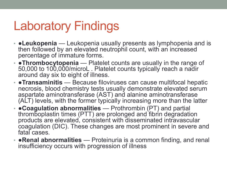## Laboratory Findings

- ●**Leukopenia** Leukopenia usually presents as lymphopenia and is then followed by an elevated neutrophil count, with an increased percentage of immature forms.
- ●**Thrombocytopenia**  Platelet counts are usually in the range of 50,000 to 100,000/microL . Platelet counts typically reach a nadir around day six to eight of illness.
- ●**Transaminitis** Because filoviruses can cause multifocal hepatic necrosis, blood chemistry tests usually demonstrate elevated serum aspartate aminotransferase (AST) and alanine aminotransferase (ALT) levels, with the former typically increasing more than the latter
- ●**Coagulation abnormalities** Prothrombin (PT) and partial thromboplastin times (PTT) are prolonged and fibrin degradation products are elevated, consistent with disseminated intravascular coagulation (DIC). These changes are most prominent in severe and fatal cases.
- ●**Renal abnormalities** Proteinuria is a common finding, and renal insufficiency occurs with progression of illness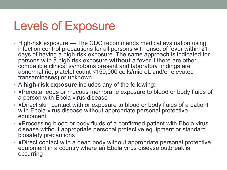## Levels of Exposure

- High-risk exposure The CDC recommends medical evaluation using infection control precautions for all persons with onset of fever within  $21$ days of having a high-risk exposure. The same approach is indicated for persons with a high-risk exposure **without** a fever if there are other compatible clinical symptoms present and laboratory findings are abnormal (ie, platelet count <150,000 cells/microL and/or elevated transaminases) or unknown.
- A **high-risk exposure** includes any of the following:
- • Percutaneous or mucous membrane exposure to blood or body fluids of a person with Ebola virus disease
- • Direct skin contact with or exposure to blood or body fluids of a patient with Ebola virus disease without appropriate personal protective equipment.
- • Processing blood or body fluids of a confirmed patient with Ebola virus disease without appropriate personal protective equipment or standard biosafety precautions
- ●Direct contact with a dead body without appropriate personal protective equipment in a country where an Ebola virus disease outbreak is occurring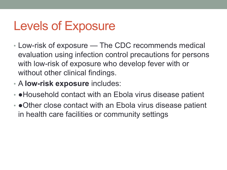# Levels of Exposure

- Low-risk of exposure The CDC recommends medical evaluation using infection control precautions for persons with low-risk of exposure who develop fever with or without other clinical findings.
- A **low-risk exposure** includes:
- ●Household contact with an Ebola virus disease patient
- • Other close contact with an Ebola virus disease patient in health care facilities or community settings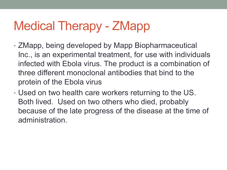# Medical Therapy - ZMapp

- ZMapp, being developed by Mapp Biopharmaceutical Inc., is an experimental treatment, for use with individuals infected with Ebola virus. The product is a combination of three different monoclonal antibodies that bind to the protein of the Ebola virus
- Used on two health care workers returning to the US. Both lived. Used on two others who died, probably because of the late progress of the disease at the time of administration.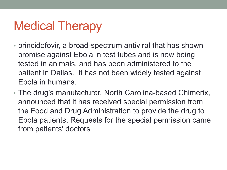# Medical Therapy

- brincidofovir, a broad-spectrum antiviral that has shown promise against Ebola in test tubes and is now being tested in animals, and has been administered to the patient in Dallas. It has not been widely tested against Ebola in humans.
- The drug's manufacturer, North Carolina-based Chimerix, announced that it has received special permission from the Food and Drug Administration to provide the drug to Ebola patients. Requests for the special permission came from patients' doctors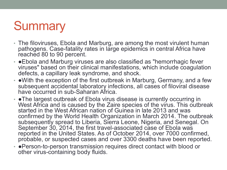## **Summary**

- The filoviruses, Ebola and Marburg, are among the most virulent human pathogens. Case-fatality rates in large epidemics in central Africa have reached 80 to 90 percent.
- • Ebola and Marburg viruses are also classified as "hemorrhagic fever viruses" based on their clinical manifestations, which include coagulation defects, a capillary leak syndrome, and shock.
- • With the exception of the first outbreak in Marburg, Germany, and a few subsequent accidental laboratory infections, all cases of filoviral disease have occurred in sub-Saharan Africa.
- • The largest outbreak of Ebola virus disease is currently occurring in West Africa and is caused by the Zaire species of the virus. This outbreak started in the West African nation of Guinea in late 2013 and was confirmed by the World Health Organization in March 2014. The outbreak subsequently spread to Liberia, Sierra Leone, Nigeria, and Senegal. On September 30, 2014, the first travel-associated case of Ebola was reported in the United States. As of October 2014, over 7000 confirmed, probable, or suspected cases and over 3300 deaths have been reported.
- ●Person-to-person transmission requires direct contact with blood or other virus-containing body fluids.